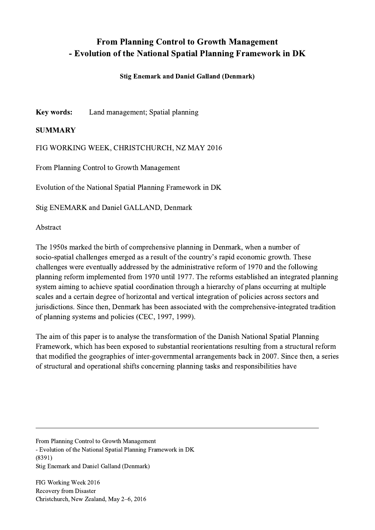## From Planning Control to Growth Management - Evolution of the National Spatial Planning Framework in DK

## Stig Enemark and Daniel Galland (Denmark)

Key words: Land management; Spatial planning

## SUMMARY

FIG WORKING WEEK, CHRISTCHURCH, NZ MAY 2016

From Planning Control to Growth Management

Evolution of the National Spatial Planning Framework in DK

Stig ENEMARK and Daniel GALLAND, Denmark

## Abstract

The 1950s marked the birth of comprehensive planning in Denmark, when a number of socio-spatial challenges emerged as a result of the country's rapid economic growth. These challenges were eventually addressed by the administrative reform of 1970 and the following planning reform implemented from 1970 until 1977. The reforms established an integrated planning system aiming to achieve spatial coordination through a hierarchy of plans occurring at multiple scales and a certain degree of horizontal and vertical integration of policies across sectors and jurisdictions. Since then, Denmark has been associated with the comprehensive-integrated tradition of planning systems and policies (CEC, 1997, 1999).

The aim of this paper is to analyse the transformation of the Danish National Spatial Planning Framework, which has been exposed to substantial reorientations resulting from a structural reform that modified the geographies of inter-governmental arrangements back in 2007. Since then, a series of structural and operational shifts concerning planning tasks and responsibilities have

 $\mathcal{L}_\mathcal{L} = \{ \mathcal{L}_\mathcal{L} = \{ \mathcal{L}_\mathcal{L} = \{ \mathcal{L}_\mathcal{L} = \{ \mathcal{L}_\mathcal{L} = \{ \mathcal{L}_\mathcal{L} = \{ \mathcal{L}_\mathcal{L} = \{ \mathcal{L}_\mathcal{L} = \{ \mathcal{L}_\mathcal{L} = \{ \mathcal{L}_\mathcal{L} = \{ \mathcal{L}_\mathcal{L} = \{ \mathcal{L}_\mathcal{L} = \{ \mathcal{L}_\mathcal{L} = \{ \mathcal{L}_\mathcal{L} = \{ \mathcal{L}_\mathcal{$ 

From Planning Control to Growth Management - Evolution of the National Spatial Planning Framework in DK (8391) Stig Enemark and Daniel Galland (Denmark)

FIG Working Week 2016 Recovery from Disaster Christchurch, New Zealand, May 2–6, 2016